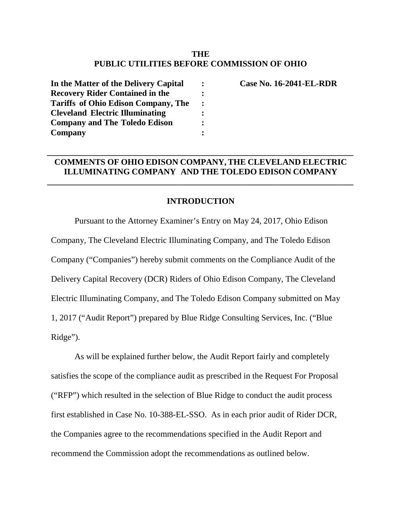# **THE PUBLIC UTILITIES BEFORE COMMISSION OF OHIO**

| In the Matter of the Delivery Capital                                                                                                                                  |                |
|------------------------------------------------------------------------------------------------------------------------------------------------------------------------|----------------|
| <b>Recovery Rider Contained in the</b><br><b>Tariffs of Ohio Edison Company, The</b><br><b>Cleveland Electric Illuminating</b><br><b>Company and The Toledo Edison</b> |                |
|                                                                                                                                                                        | $\ddot{\cdot}$ |
|                                                                                                                                                                        |                |
|                                                                                                                                                                        | $\ddot{\cdot}$ |
| Company                                                                                                                                                                |                |

**Case No. 16-2041-EL-RDR**

### **COMMENTS OF OHIO EDISON COMPANY, THE CLEVELAND ELECTRIC ILLUMINATING COMPANY AND THE TOLEDO EDISON COMPANY**

**\_\_\_\_\_\_\_\_\_\_\_\_\_\_\_\_\_\_\_\_\_\_\_\_\_\_\_\_\_\_\_\_\_\_\_\_\_\_\_\_\_\_\_\_\_\_\_\_\_\_\_\_\_\_\_\_\_\_\_\_\_\_\_\_\_\_\_\_\_\_\_\_**

#### **INTRODUCTION**

**\_\_\_\_\_\_\_\_\_\_\_\_\_\_\_\_\_\_\_\_\_\_\_\_\_\_\_\_\_\_\_\_\_\_\_\_\_\_\_\_\_\_\_\_\_\_\_\_\_\_\_\_\_\_\_\_\_\_\_\_\_\_\_\_\_\_\_\_\_\_\_\_**

Pursuant to the Attorney Examiner's Entry on May 24, 2017, Ohio Edison Company, The Cleveland Electric Illuminating Company, and The Toledo Edison Company ("Companies") hereby submit comments on the Compliance Audit of the Delivery Capital Recovery (DCR) Riders of Ohio Edison Company, The Cleveland Electric Illuminating Company, and The Toledo Edison Company submitted on May 1, 2017 ("Audit Report") prepared by Blue Ridge Consulting Services, Inc. ("Blue Ridge").

As will be explained further below, the Audit Report fairly and completely satisfies the scope of the compliance audit as prescribed in the Request For Proposal ("RFP") which resulted in the selection of Blue Ridge to conduct the audit process first established in Case No. 10-388-EL-SSO. As in each prior audit of Rider DCR, the Companies agree to the recommendations specified in the Audit Report and recommend the Commission adopt the recommendations as outlined below.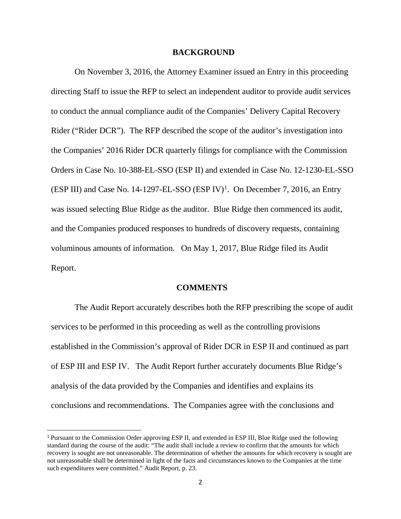#### **BACKGROUND**

On November 3, 2016, the Attorney Examiner issued an Entry in this proceeding directing Staff to issue the RFP to select an independent auditor to provide audit services to conduct the annual compliance audit of the Companies' Delivery Capital Recovery Rider ("Rider DCR"). The RFP described the scope of the auditor's investigation into the Companies' 2016 Rider DCR quarterly filings for compliance with the Commission Orders in Case No. 10-388-EL-SSO (ESP II) and extended in Case No. 12-1230-EL-SSO  $(ESP III)$  and Case No. [1](#page-1-0)4-1297-EL-SSO  $(ESP IV)^1$ . On December 7, 2016, an Entry was issued selecting Blue Ridge as the auditor. Blue Ridge then commenced its audit, and the Companies produced responses to hundreds of discovery requests, containing voluminous amounts of information. On May 1, 2017, Blue Ridge filed its Audit Report.

#### **COMMENTS**

The Audit Report accurately describes both the RFP prescribing the scope of audit services to be performed in this proceeding as well as the controlling provisions established in the Commission's approval of Rider DCR in ESP II and continued as part of ESP III and ESP IV. The Audit Report further accurately documents Blue Ridge's analysis of the data provided by the Companies and identifies and explains its conclusions and recommendations. The Companies agree with the conclusions and

<span id="page-1-0"></span> <sup>1</sup> Pursuant to the Commission Order approving ESP II, and extended in ESP III, Blue Ridge used the following standard during the course of the audit: "The audit shall include a review to confirm that the amounts for which recovery is sought are not unreasonable. The determination of whether the amounts for which recovery is sought are not unreasonable shall be determined in light of the facts and circumstances known to the Companies at the time such expenditures were committed." Audit Report, p. 23.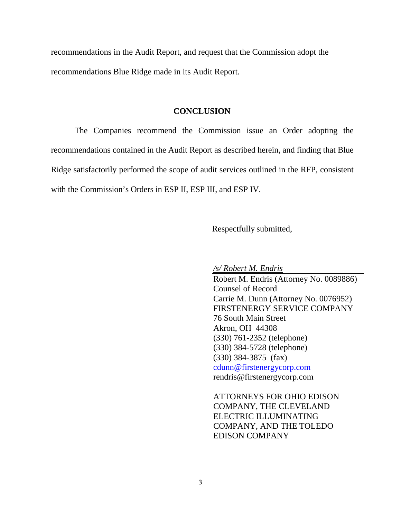recommendations in the Audit Report, and request that the Commission adopt the recommendations Blue Ridge made in its Audit Report.

#### **CONCLUSION**

The Companies recommend the Commission issue an Order adopting the recommendations contained in the Audit Report as described herein, and finding that Blue Ridge satisfactorily performed the scope of audit services outlined in the RFP, consistent with the Commission's Orders in ESP II, ESP III, and ESP IV.

Respectfully submitted,

*/s/ Robert M. Endris*

Robert M. Endris (Attorney No. 0089886) Counsel of Record Carrie M. Dunn (Attorney No. 0076952) FIRSTENERGY SERVICE COMPANY 76 South Main Street Akron, OH 44308 (330) 761-2352 (telephone) (330) 384-5728 (telephone) (330) 384-3875 (fax) [cdunn@firstenergycorp.com](mailto:cdunn@firstenergycorp.com) rendris@firstenergycorp.com

ATTORNEYS FOR OHIO EDISON COMPANY, THE CLEVELAND ELECTRIC ILLUMINATING COMPANY, AND THE TOLEDO EDISON COMPANY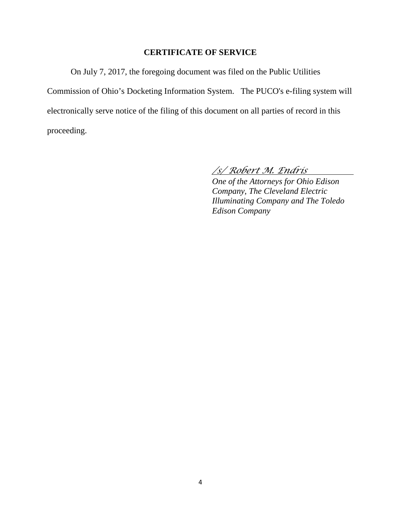## **CERTIFICATE OF SERVICE**

On July 7, 2017, the foregoing document was filed on the Public Utilities Commission of Ohio's Docketing Information System. The PUCO's e-filing system will electronically serve notice of the filing of this document on all parties of record in this proceeding.

# */s/ Robert M. Endris*

*One of the Attorneys for Ohio Edison Company, The Cleveland Electric Illuminating Company and The Toledo Edison Company*